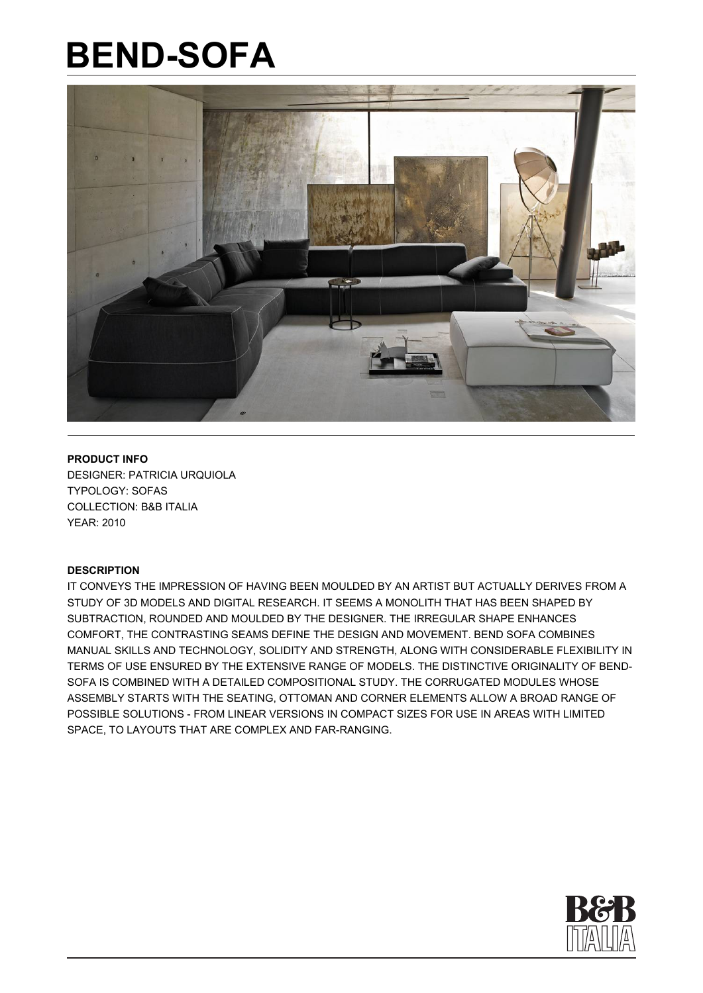

**PRODUCT INFO** DESIGNER: PATRICIA URQUIOLA TYPOLOGY: SOFAS COLLECTION: B&B ITALIA YEAR: 2010

#### **DESCRIPTION**

IT CONVEYS THE IMPRESSION OF HAVING BEEN MOULDED BY AN ARTIST BUT ACTUALLY DERIVES FROM A STUDY OF 3D MODELS AND DIGITAL RESEARCH. IT SEEMS A MONOLITH THAT HAS BEEN SHAPED BY SUBTRACTION, ROUNDED AND MOULDED BY THE DESIGNER. THE IRREGULAR SHAPE ENHANCES COMFORT, THE CONTRASTING SEAMS DEFINE THE DESIGN AND MOVEMENT. BEND SOFA COMBINES MANUAL SKILLS AND TECHNOLOGY, SOLIDITY AND STRENGTH, ALONG WITH CONSIDERABLE FLEXIBILITY IN TERMS OF USE ENSURED BY THE EXTENSIVE RANGE OF MODELS. THE DISTINCTIVE ORIGINALITY OF BEND-SOFA IS COMBINED WITH A DETAILED COMPOSITIONAL STUDY. THE CORRUGATED MODULES WHOSE ASSEMBLY STARTS WITH THE SEATING, OTTOMAN AND CORNER ELEMENTS ALLOW A BROAD RANGE OF POSSIBLE SOLUTIONS - FROM LINEAR VERSIONS IN COMPACT SIZES FOR USE IN AREAS WITH LIMITED SPACE, TO LAYOUTS THAT ARE COMPLEX AND FAR-RANGING.

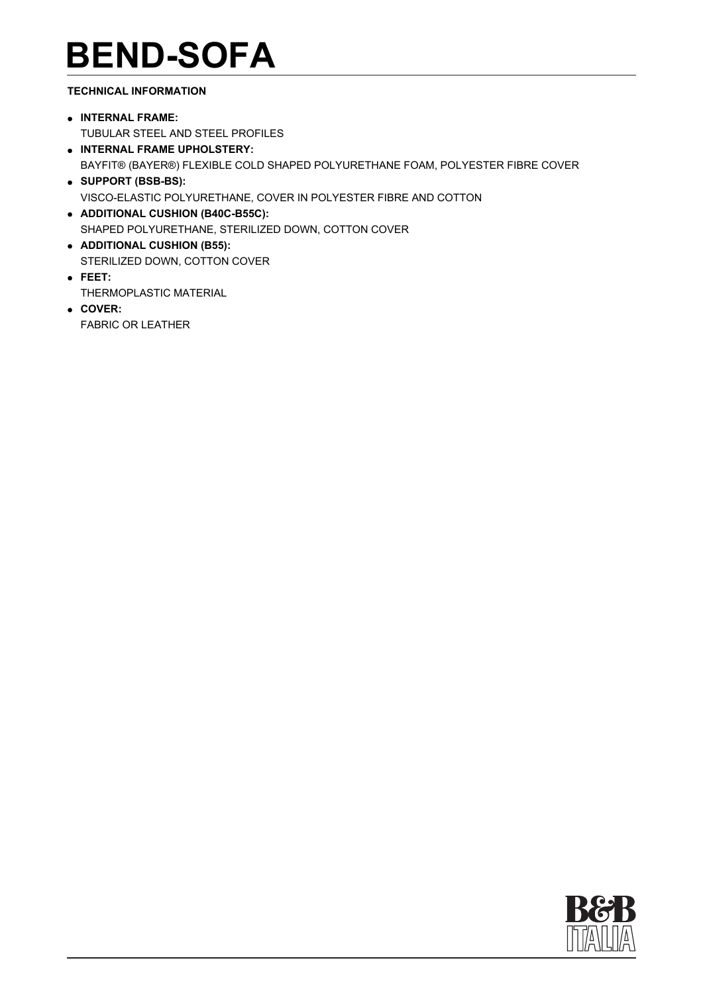### **TECHNICAL INFORMATION**

- **INTERNAL FRAME:**  TUBULAR STEEL AND STEEL PROFILES
- **INTERNAL FRAME UPHOLSTERY:**  BAYFIT® (BAYER®) FLEXIBLE COLD SHAPED POLYURETHANE FOAM, POLYESTER FIBRE COVER **SUPPORT (BSB-BS):**
- VISCO-ELASTIC POLYURETHANE, COVER IN POLYESTER FIBRE AND COTTON
- **ADDITIONAL CUSHION (B40C-B55C):**  SHAPED POLYURETHANE, STERILIZED DOWN, COTTON COVER
- **ADDITIONAL CUSHION (B55):**  STERILIZED DOWN, COTTON COVER
- **FEET:**  THERMOPLASTIC MATERIAL
- **COVER:**  FABRIC OR LEATHER

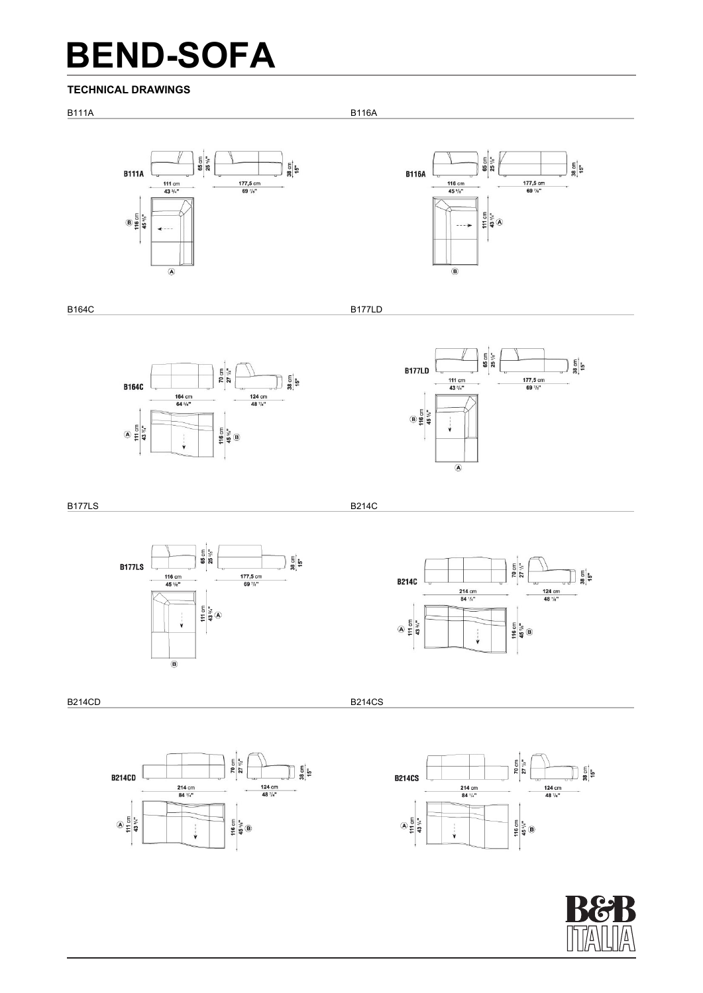#### **TECHNICAL DRAWINGS**

B111A B116A





B164C B177LD





B177LS B214C



70 cm<br>27  $\frac{1}{2}$ **B214C** 124 cm<br>48  $\frac{7}{8}$ 214 cm<br>84  $\frac{1}{4}$  $A = \frac{1}{2}$ 116 cm<br>45  $\frac{9}{3}$ <sup>18</sup>  $\bigcup$ 

B214CD B214CD B214CS B2010 B2010 B2010 B2010 B214CS







 $\frac{1}{2}$ ទៀង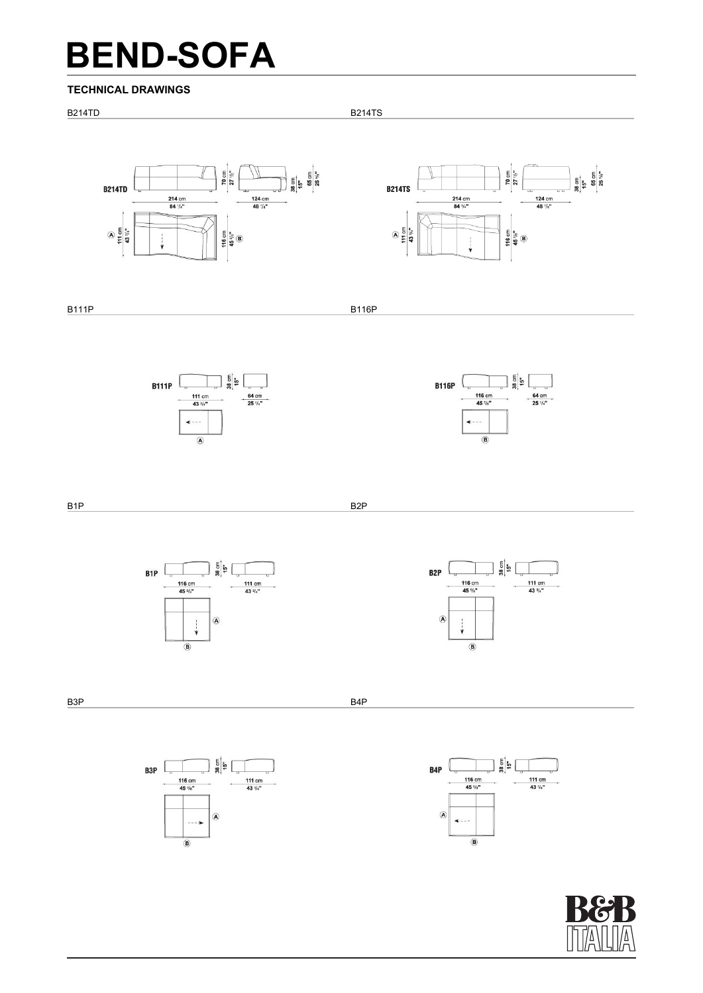#### **TECHNICAL DRAWINGS**







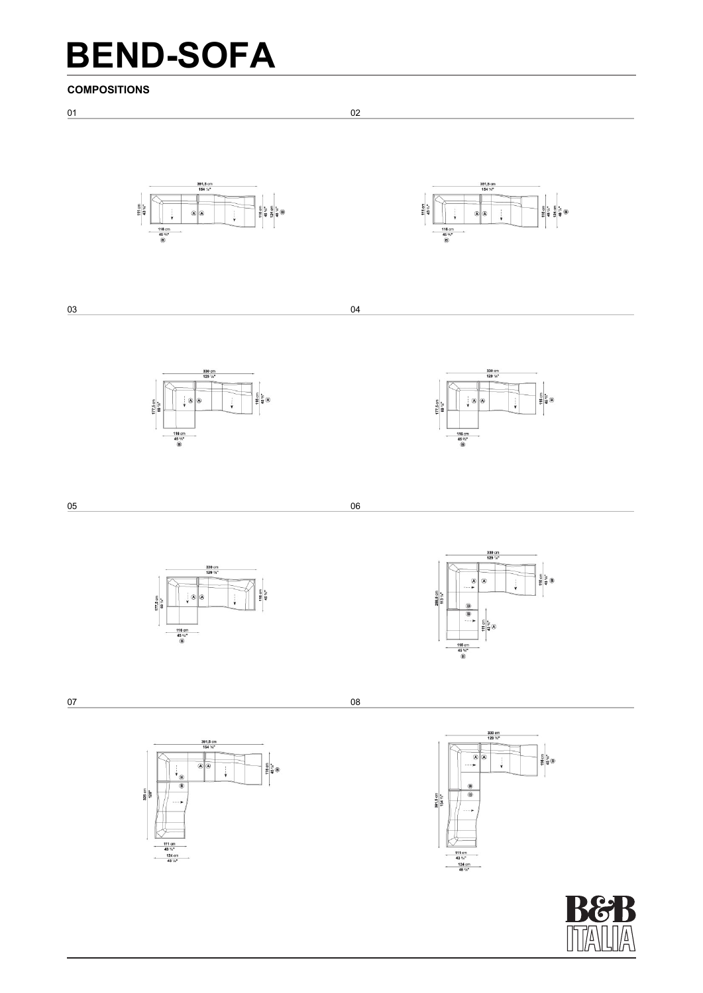111 cm<br>43 %"<br>124 cm<br>48 %"





 $\begin{array}{c|c}\n\hline\n\text{111 cm} \\
\hline\n\text{43 }\frac{1}{4}\text{m} \\
\hline\n\text{124 cm} \\
\hline\n\text{48 }\frac{1}{4}\text{m}\n\end{array}$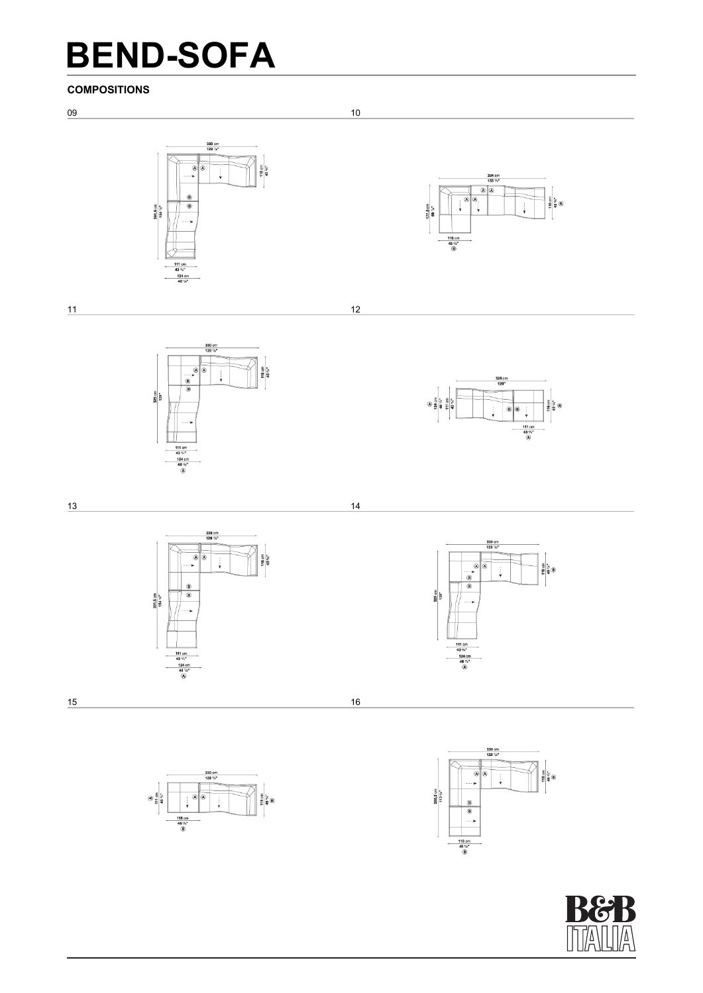### **COMPOSITIONS**